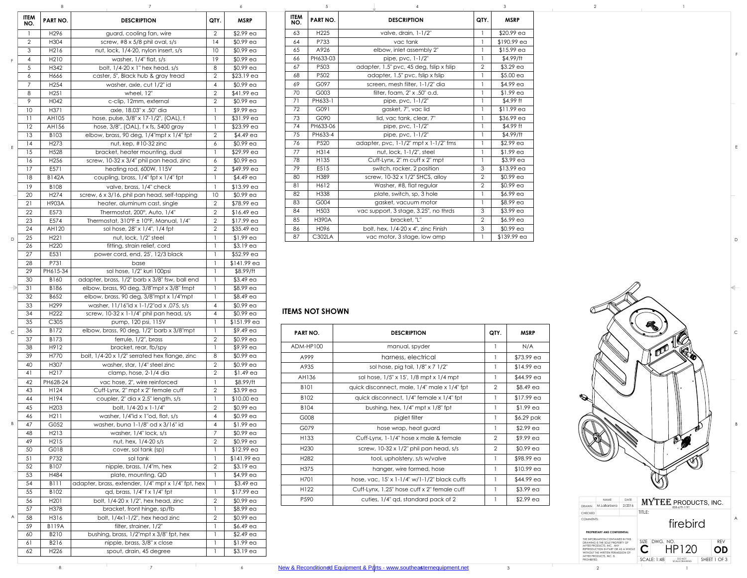## **ITEMS NOT SHOWN**

|               | <b>ITEM</b><br>NO. | <b>PART NO.</b>          | <b>DESCRIPTION</b>                                                 | QTY.           | <b>MSRP</b>              |
|---------------|--------------------|--------------------------|--------------------------------------------------------------------|----------------|--------------------------|
|               | 1                  | H296                     | guard, cooling fan, wire                                           | $\overline{2}$ | $$2.99$ ea               |
|               | $\overline{2}$     | H304                     | screw, #8 x 5/8 phil oval, s/s                                     | 4              | $$0.99$ ea               |
|               | 3                  | H216                     | nut, lock, 1/4-20, nylon insert, s/s                               | 10             | $$0.99$ ea               |
| F             | 4                  | H <sub>2</sub> 10        | washer, $1/4$ " flat, $s/s$                                        | 19             | \$0.99 ea                |
|               | 5                  | H342                     | bolt, 1/4-20 x 1" hex head, s/s                                    | 8              | \$0.99 ea                |
|               | 6                  | H666                     | caster, 5", Black hub & gray tread                                 | $\overline{2}$ | $$23.19$ ea              |
|               | 7                  | H <sub>254</sub>         | washer, axle, cut 1/2" id                                          | 4              | \$0.99 ea                |
|               | 8                  | H <sub>251</sub>         | wheel, 12"                                                         | $\overline{2}$ | \$41.99 ea               |
|               | 9                  | H042                     | c-clip, 12mm, external                                             | $\overline{2}$ | $$0.99$ ea               |
|               | 10                 | H371                     | axle, 18.03" x .50" dia                                            | $\mathbf{I}$   | \$9.99 ea                |
|               | 11                 | AH105                    | hose, pulse, 3/8" x 17-1/2", (OAL), f                              |                | \$31.99 ea               |
|               | 12                 | AH156                    | hose, 3/8", (OAL), f x fs, 5400 gray                               | $\mathbf{1}$   | $$23.99$ ea              |
|               | 13                 | B103                     | elbow, brass, 90 deg, 1/4"mpt x 1/4" fpt                           | $\overline{2}$ | $$4.49$ ea               |
| E             | 14<br>15           | H <sub>273</sub>         | nut, kep, #10-32 zinc                                              | 6              | $$0.99$ ea               |
|               | 16                 | H <sub>528</sub><br>H256 | bracket, heater mounting, dual                                     | 1<br>6         | \$29.99 ea<br>$$0.99$ ea |
|               | 17                 | E571                     | screw, 10-32 x 3/4" phil pan head, zinc<br>heating rod, 600W, 115V | $\overline{2}$ | \$49.99 ea               |
|               | 18                 | <b>B142A</b>             | coupling, brass, 1/4" fpt x 1/4" fpt                               | $\mathbf{1}$   | $$4.49$ ea               |
|               | 19                 | B108                     | valve, brass, 1/4" check                                           | $\mathbf{1}$   | $$13.99$ ea              |
|               | 20                 | H <sub>274</sub>         | screw, 6 x 3/16, phil pan head, self-tapping                       | 10             | $$0.99$ ea               |
|               | 21                 | H903A                    | heater, aluminum cast, single                                      | $\overline{2}$ | \$78.99 ea               |
|               | 22                 | E573                     | Thermostat, 200°, Auto, 1/4"                                       | $\overline{2}$ | $$16.49$ ea              |
|               | 23                 | E574                     | Thermostat, 310°F ± 10°F, Manual, 1/4"                             | 2              | \$17.99 ea               |
|               | 24                 | AH120                    | sol hose, 28" x 1/4", 1/4 fpt                                      | $\overline{2}$ | $$35.49$ ea              |
| $\mathsf{D}$  | 25                 | H <sub>221</sub>         | nut, lock, 1/2" steel                                              | 1              | $$1.99$ ea               |
|               | 26                 | H <sub>220</sub>         | fitting, strain relief, cord                                       |                | $$3.19$ ea               |
|               | 27                 | E531                     | power cord, end, 25', 12/3 black                                   | $\mathbf{1}$   | \$52.99 ea               |
|               | 28                 | P731                     | base                                                               |                | \$141.99 ea              |
|               | 29                 | PH615-34                 | sol hose, 1/2" kuri 100psi                                         |                | \$8.99/ft                |
|               | 30                 | B160                     | adapter, brass, 1/2" barb x 3/8" fsw, ball end                     |                | $$3.49$ ea               |
| $\Rightarrow$ | 31                 | B186                     | elbow, brass, 90 deg, 3/8"mpt x 3/8" fmpt                          | $\mathbf{1}$   | \$8.99 ea                |
|               | 32                 | B652                     | elbow, brass, 90 deg, 3/8"mpt x 1/4"mpt                            | 1              | \$8.49 ea                |
|               | 33                 | H <sub>299</sub>         | washer, 11/16"id x 1-1/2"od x .075, s/s                            | 4              | $$0.99$ ea               |
|               | 34                 | H <sub>222</sub>         | screw, 10-32 x 1-1/4" phil pan head, s/s                           | 4              | \$0.99 ea                |
|               | 35                 | C305                     | pump, 120 psi, 115V                                                | 1              | \$151.99 ea              |
| $\mathsf{C}$  | 36                 | B172                     | elbow, brass, 90 deg, 1/2" barb x 3/8"mpt                          | $\mathbf{1}$   | \$9.49 ea                |
|               | 37                 | B173                     | ferrule, 1/2", brass                                               | $\overline{2}$ | \$0.99 ea                |
|               | 38<br>39           | H912<br>H770             | bracket, rear, fb/spy                                              | 8              | \$9.99 ea                |
|               | 40                 | H307                     | bolt, 1/4-20 x 1/2" serrated hex flange, zinc                      | $\overline{2}$ | $$0.99$ ea               |
|               | 41                 | H <sub>2</sub> 17        | washer, star, 1/4" steel zinc<br>clamp, hose, 2-1/4 dia            | $\overline{2}$ | \$0.99 ea<br>$$1.49$ ea  |
|               | 42                 | PH628-24                 | vac hose, 2", wire reinforced                                      | 1              | \$8.99/ft                |
|               | 43                 | H124                     | Cuff-Lynx, 2" mpt x 2" female cuff                                 | $\overline{2}$ | \$3.99 ea                |
|               | 44                 | H194                     | coupler, 2" dia x 2.5" length, s/s                                 | 1              | $$10.00$ ea              |
|               | 45                 | H <sub>203</sub>         | bolt, 1/4-20 x 1-1/4"                                              | $\overline{2}$ | \$0.99 ea                |
|               | 46                 | H211                     | washer, 1/4"id x 1"od, flat, s/s                                   | 4              | \$0.99 ea                |
| B             | 47                 | G052                     | washer, buna 1-1/8" od x 3/16" id                                  | 4              | $$1.99$ ea               |
|               | 48                 | H <sub>2</sub> 13        | washer, $1/4$ " lock, s/s                                          | 7              | \$0.99 ea                |
|               | 49                 | H215                     | nut, hex, 1/4-20 s/s                                               | $\overline{2}$ | \$0.99 ea                |
|               | 50                 | G018                     | cover, sol tank (sp)                                               |                | \$12.99 ea               |
|               | 51                 | P732                     | sol tank                                                           |                | \$141.99 ea              |
|               | 52                 | B107                     | nipple, brass, 1/4"m, hex                                          | $\overline{2}$ | $$3.19$ ea               |
|               | 53                 | H484                     | plate, mounting, QD                                                |                | \$4.99 ea                |
|               | 54                 | <b>B111</b>              | adapter, brass, extender, 1/4" mpt x 1/4" fpt, hex                 | $\mathbf{1}$   | $$3.49$ ea               |
|               | 55                 | B102                     | qd, brass, 1/4" f x 1/4" fpt                                       |                | $$17.99$ ea              |
|               | 56                 | H <sub>201</sub>         | bolt, $1/4-20 \times 1/2$ ", hex head, zinc                        | $\overline{2}$ | $$0.99$ ea               |
|               | 57                 | H378                     | bracket, front hinge, sp/fb                                        |                | \$8.99 ea                |
| A             | 58                 | H316                     | bolt, 1/4x1-1/2", hex head zinc                                    | $\overline{2}$ | $$0.99$ ea               |
|               | 59<br>60           | <b>B119A</b><br>B210     | filter, strainer, 1/2"<br>bushing, brass, 1/2"mpt x 3/8" fpt, hex  |                | $$6.49$ ea<br>$$2.49$ ea |
|               | 61                 | B216                     | nipple, brass, 3/8" x close                                        |                | \$1.99 ea                |
|               | 62                 | H226                     | spout, drain, 45 degree                                            | 1              | $$3.19$ ea               |
|               |                    |                          |                                                                    |                |                          |

| Ю. | <b>DESCRIPTION</b>                                          | QTY.            | <b>MSRP</b> | <b>ITEM</b><br>NO. | <b>PART NO.</b>  | <b>DESCRIPTION</b>                          | QTY.           | <b>MSRP</b> |  |
|----|-------------------------------------------------------------|-----------------|-------------|--------------------|------------------|---------------------------------------------|----------------|-------------|--|
|    | guard, cooling fan, wire                                    | $\overline{2}$  | $$2.99$ ea  | 63                 | H <sub>225</sub> | valve, drain, 1-1/2"                        |                | \$20.99 ea  |  |
|    | screw, $\#8 \times 5/8$ phil oval, s/s                      | 14              | $$0.99$ ea  | 64                 | P733             | vac tank                                    |                | \$190.99 ea |  |
|    | nut, lock, 1/4-20, nylon insert, s/s                        | 10              | $$0.99$ ea  | 65                 | A926             | elbow, inlet assembly 2"                    |                | $$15.99$ ea |  |
|    | washer, $1/4$ " flat, $s/s$                                 | 19              | $$0.99$ ea  | 66                 | PH633-03         | pipe, $pvc$ , $1-1/2"$                      |                | \$4.99/ft   |  |
|    | bolt, $1/4-20 \times 1$ " hex head, s/s                     | 8               | $$0.99$ ea  | 67                 | P <sub>503</sub> | adapter, 1.5" pvc, 45 deg, fslip x fslip    | $\overline{2}$ | $$3.29$ ea  |  |
|    | caster, 5", Black hub & gray tread                          | $\overline{2}$  | $$23.19$ ea | 68                 | P502             | adapter, 1.5" pvc, fslip x fslip            |                | $$5.00$ ea  |  |
|    | washer, axle, cut 1/2" id                                   | $\overline{4}$  | $$0.99$ ea  | 69                 | G097             | screen, mesh filter, 1-1/2" dia             |                | \$4.99 ea   |  |
|    | wheel, 12"                                                  | 2               | \$41.99 ea  | 70                 | G003             | filter, foam, 2" x .50" o.d.                |                | $$1.99$ ea  |  |
|    | c-clip, 12mm, external                                      | $\overline{2}$  | $$0.99$ ea  | 71                 | PH633-1          | pipe, pvc, 1-1/2"                           |                | \$4.99 ft   |  |
|    | axle, 18.03" x .50" dia                                     |                 | \$9.99 ea   | 72                 | G091             | gasket, 7", vac lid                         |                | \$11.99 ea  |  |
| 5  | hose, pulse, 3/8" x 17-1/2", (OAL), f                       |                 | \$31.99 ea  | 73                 | G090             | lid, vac tank, clear, 7"                    |                | \$36.99 ea  |  |
|    | hose, 3/8", (OAL), f x fs, 5400 gray                        |                 | $$23.99$ ea | 74                 | PH633-06         | pipe, pvc, 1-1/2"                           |                | $$4.99$ ft  |  |
|    | elbow, brass, 90 deg, $1/4$ "mpt x $1/4$ " fpt              | $\overline{2}$  | $$4.49$ ea  | 75                 | PH633-4          | pipe, pvc, 1-1/2"                           |                | \$4.99/ft   |  |
|    | nut, kep, $#10-32$ zinc                                     | $\epsilon$      | $$0.99$ ea  | 76                 | P <sub>520</sub> | adapter, pvc, $1-1/2$ " mpt x $1-1/2$ " fms |                | $$2.99$ ea  |  |
|    | bracket, heater mounting, dual                              |                 | \$29.99 ea  | 77                 | H314             | nut, lock, 1-1/2", steel                    |                | $$1.99$ ea  |  |
|    | screw, 10-32 x 3/4" phil pan head, zinc                     | 6               | $$0.99$ ea  | 78                 | H135             | Cuff-Lynx, 2" m cuff x 2" mpt               |                | $$3.99$ ea  |  |
|    | heating rod, 600W, 115V                                     | $\overline{2}$  | \$49.99 ea  | 79                 | E515             | switch, rocker, 2 position                  | $\mathcal{S}$  | $$13.99$ ea |  |
|    | coupling, brass, 1/4" fpt x 1/4" fpt                        |                 | $$4.49$ ea  | 80                 | H389             | screw, 10-32 x 1/2" SHCS, alloy             | $\overline{2}$ | $$0.99$ ea  |  |
|    | valve, brass, 1/4" check                                    |                 | $$13.99$ ea | 81                 | H612             | Washer, #8, flat regular                    | $\overline{2}$ | $$0.99$ ea  |  |
|    | screw, 6 x 3/16, phil pan head, self-tapping                | 10 <sup>°</sup> | \$0.99 ea   | 82                 | H338             | plate, switch, sp, 3 hole                   |                | $$6.99$ ea  |  |
|    | heater, aluminum cast, single                               | 2               | \$78.99 ea  | 83                 | G004             | gasket, vacuum motor                        |                | \$8.99 ea   |  |
|    | Thermostat, 200°, Auto, 1/4"                                | $\overline{2}$  | $$16.49$ ea | 84                 | H <sub>503</sub> | vac support, 3 stage, 3.25", no thrds       | $\mathcal{S}$  | $$3.99$ ea  |  |
|    | Thermostat, $310^{\circ}$ F ± 10 $^{\circ}$ F, Manual, 1/4" | $\overline{2}$  | $$17.99$ ea | 85                 | <b>H390A</b>     | bracket, "L"                                | $\overline{2}$ | $$6.99$ ea  |  |
|    | sol hose, 28" x 1/4", 1/4 fpt                               | 2               | $$35.49$ ea | 86                 | H096             | bolt, hex, $1/4-20 \times 4$ ", zinc Finish | $\mathcal{S}$  | $$0.99$ ea  |  |
|    | nut, lock, 1/2" steel                                       |                 | \$1.99 ea   | 87                 | <b>C302LA</b>    | vac motor, 3 stage, low amp                 |                | \$139.99 ea |  |
|    |                                                             |                 |             |                    |                  |                                             |                |             |  |

| <b>PART NO.</b>  | <b>DESCRIPTION</b>                           | QTY.           | <b>MSRP</b> |
|------------------|----------------------------------------------|----------------|-------------|
| ADM-HP100        | manual, spyder                               | 1              | N/A         |
| A999             | harness, electrical                          |                | $$73.99$ ea |
| A935             | sol hose, pig tail, 1/8" x 7 1/2"            | 1              | $$14.99$ ea |
| AH136            | sol hose, 1/5" x 15', 1/8 mpt x 1/4 mpt      | $\mathbf{1}$   | $$44.99$ ea |
| <b>B101</b>      | quick disconnect, male, 1/4" male x 1/4" fpt | $\overline{2}$ | $$8.49$ ea  |
| B102             | quick disconnect, 1/4" female x 1/4" fpt     | $\mathbf{1}$   | $$17.99$ ea |
| <b>B104</b>      | bushing, hex, $1/4$ " mpt x $1/8$ " fpt      | 1              | $$1.99$ ea  |
| G008             | piglet filter                                |                | \$6.29 pak  |
| G079             | hose wrap, heat guard                        |                | $$2.99$ ea  |
| H <sub>133</sub> | Cuff-Lynx, 1-1/4" hose x male & female       | $\overline{2}$ | $$9.99$ ea  |
| H <sub>230</sub> | screw, 10-32 x 1/2" phil pan head, s/s       | $\overline{2}$ | $$0.99$ ea  |
| H <sub>282</sub> | tool, upholstery, s/s w/valve                |                | \$98.99 ea  |
| H <sub>375</sub> | hanger, wire formed, hose                    | 1              | $$10.99$ ea |
| H701             | hose, vac, 15' x 1-1/4" w/1-1/2" black cuffs |                | \$44.99 ea  |
| H122             | Cuff-Lynx, 1.25" hose cuff x 2" female cuff  |                | $$3.99$ ea  |
| P <sub>590</sub> | cuties, 1/4" gd, standard pack of 2          |                | $$2.99$ ea  |
|                  |                                              |                |             |

D

C

B

E

F



A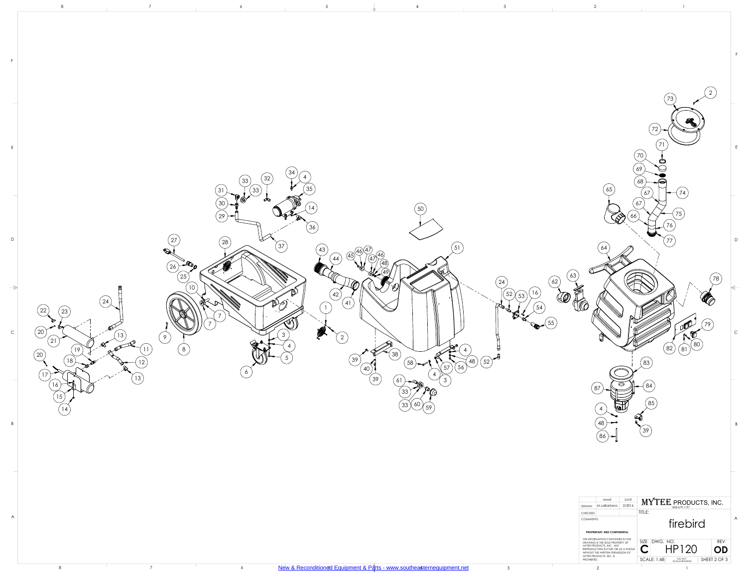